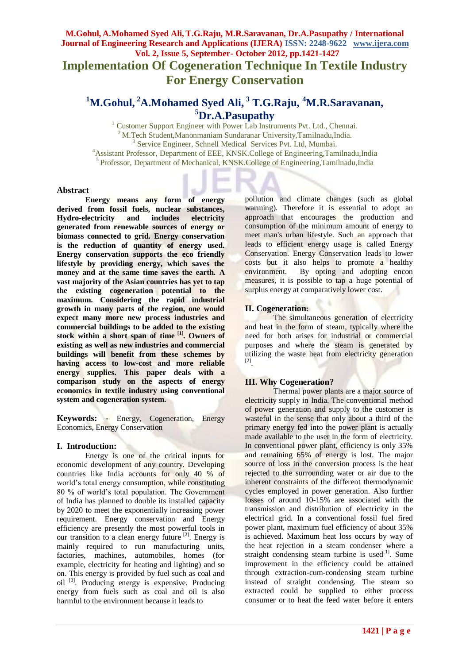**Implementation Of Cogeneration Technique In Textile Industry For Energy Conservation**

# **<sup>1</sup>M.Gohul, <sup>2</sup>A.Mohamed Syed Ali, <sup>3</sup> T.G.Raju, <sup>4</sup>M.R.Saravanan, <sup>5</sup>Dr.A.Pasupathy**

<sup>1</sup> Customer Support Engineer with Power Lab Instruments Pvt. Ltd., Chennai.  $^{2}$  M.Tech Student, Manonmaniam Sundaranar University, Tamilnadu, India. 3 Service Engineer, Schnell Medical Services Pvt. Ltd, Mumbai. <sup>4</sup>Assistant Professor, Department of EEE, KNSK.College of Engineering,Tamilnadu,India <sup>5</sup> Professor, Department of Mechanical, KNSK.College of Engineering,Tamilnadu,India

#### **Abstract**

**Energy means any form of energy derived from fossil fuels, nuclear substances, Hydro-electricity and includes electricity generated from renewable sources of energy or biomass connected to grid. Energy conservation is the reduction of quantity of energy used. Energy conservation supports the eco friendly lifestyle by providing energy, which saves the money and at the same time saves the earth. A vast majority of the Asian countries has yet to tap the existing cogeneration potential to the maximum. Considering the rapid industrial growth in many parts of the region, one would expect many more new process industries and commercial buildings to be added to the existing stock within a short span of time [1]. Owners of existing as well as new industries and commercial buildings will benefit from these schemes by having access to low-cost and more reliable energy supplies. This paper deals with a comparison study on the aspects of energy economics in textile industry using conventional system and cogeneration system.**

**Keywords: -** Energy, Cogeneration, Energy Economics, Energy Conservation

## **I. Introduction:**

Energy is one of the critical inputs for economic development of any country. Developing countries like India accounts for only 40 % of world's total energy consumption, while constituting 80 % of world's total population. The Government of India has planned to double its installed capacity by 2020 to meet the exponentially increasing power requirement. Energy conservation and Energy efficiency are presently the most powerful tools in our transition to a clean energy future  $^{[2]}$ . Energy is mainly required to run manufacturing units, factories, machines, automobiles, homes (for example, electricity for heating and lighting) and so on. This energy is provided by fuel such as coal and oil [3]. Producing energy is expensive. Producing energy from fuels such as coal and oil is also harmful to the environment because it leads to

pollution and climate changes (such as global warming). Therefore it is essential to adopt an approach that encourages the production and consumption of the minimum amount of energy to meet man's urban lifestyle. Such an approach that leads to efficient energy usage is called Energy Conservation. Energy Conservation leads to lower costs but it also helps to promote a healthy environment. By opting and adopting encon measures, it is possible to tap a huge potential of surplus energy at comparatively lower cost.

## **II. Cogeneration:**

The simultaneous generation of electricity and heat in the form of steam, typically where the need for both arises for industrial or commercial purposes and where the steam is generated by utilizing the waste heat from electricity generation [2] .

## **III. Why Cogeneration?**

Thermal power plants are a major source of electricity supply in India. The conventional method of power generation and supply to the customer is wasteful in the sense that only about a third of the primary energy fed into the power plant is actually made available to the user in the form of electricity. In conventional power plant, efficiency is only 35% and remaining 65% of energy is lost. The major source of loss in the conversion process is the heat rejected to the surrounding water or air due to the inherent constraints of the different thermodynamic cycles employed in power generation. Also further losses of around 10-15% are associated with the transmission and distribution of electricity in the electrical grid. In a conventional fossil fuel fired power plant, maximum fuel efficiency of about 35% is achieved. Maximum heat loss occurs by way of the heat rejection in a steam condenser where a straight condensing steam turbine is used $[1]$ . Some improvement in the efficiency could be attained through extraction-cum-condensing steam turbine instead of straight condensing. The steam so extracted could be supplied to either process consumer or to heat the feed water before it enters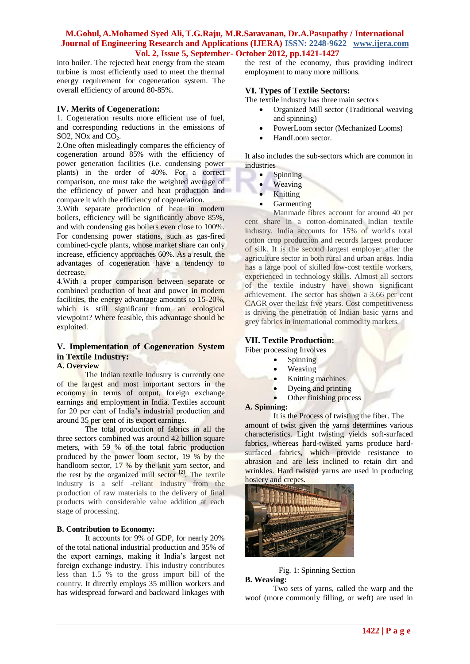into boiler. The rejected heat energy from the steam turbine is most efficiently used to meet the thermal energy requirement for cogeneration system. The overall efficiency of around 80-85%.

#### **IV. Merits of Cogeneration:**

1. Cogeneration results more efficient use of fuel, and corresponding reductions in the emissions of SO2, NOx and  $CO<sub>2</sub>$ .

2.One often misleadingly compares the efficiency of cogeneration around 85% with the efficiency of power generation facilities (i.e. condensing power plants) in the order of 40%. For a correct comparison, one must take the weighted average of the efficiency of power and heat production and compare it with the efficiency of cogeneration.

3.With separate production of heat in modern boilers, efficiency will be significantly above 85%, and with condensing gas boilers even close to 100%. For condensing power stations, such as gas-fired combined-cycle plants, whose market share can only increase, efficiency approaches 60%. As a result, the advantages of cogeneration have a tendency to decrease.

4.With a proper comparison between separate or combined production of heat and power in modern facilities, the energy advantage amounts to 15-20%, which is still significant from an ecological viewpoint? Where feasible, this advantage should be exploited.

## **V. Implementation of Cogeneration System in Textile Industry:**

## **A. Overview**

The Indian textile Industry is currently one of the largest and most important sectors in the economy in terms of output, foreign exchange earnings and employment in India. Textiles account for 20 per cent of India's industrial production and around 35 per cent of its export earnings.

The total production of fabrics in all the three sectors combined was around 42 billion square meters, with 59 % of the total fabric production produced by the power loom sector, 19 % by the handloom sector, 17 % by the knit yarn sector, and the rest by the organized mill sector  $[2]$ . The textile industry is a self -reliant industry from the production of raw materials to the delivery of final products with considerable value addition at each stage of processing.

#### **B. Contribution to Economy:**

It accounts for 9% of GDP, for nearly 20% of the total national industrial production and 35% of the export earnings, making it India's largest net foreign exchange industry. This industry contributes less than 1.5 % to the gross import bill of the country. It directly employs 35 million workers and has widespread forward and backward linkages with

the rest of the economy, thus providing indirect employment to many more millions.

## **VI. Types of Textile Sectors:**

The textile industry has three main sectors

- Organized Mill sector (Traditional weaving and spinning)
- PowerLoom sector (Mechanized Looms)
- HandLoom sector*.*

It also includes the sub-sectors which are common in industries

- Spinning
- Weaving
- Knitting
- Garmenting

Manmade fibres account for around 40 per cent share in a cotton-dominated Indian textile industry. India accounts for 15% of world's total cotton crop production and records largest producer of silk. It is the second largest employer after the agriculture sector in both rural and urban areas. India has a large pool of skilled low-cost textile workers, experienced in technology skills. Almost all sectors of the textile industry have shown significant achievement. The sector has shown a 3.66 per cent CAGR over the last five years. Cost competitiveness is driving the penetration of Indian basic yarns and grey fabrics in international commodity markets.

## **VII. Textile Production:**

Fiber processing Involves

- Spinning
- Weaving
- Knitting machines
- Dyeing and printing
- Other finishing process

#### **A. Spinning:**

It is the Process of twisting the fiber. The

amount of twist given the yarns determines various characteristics. Light twisting yields soft-surfaced fabrics, whereas hard-twisted yarns produce hardsurfaced fabrics, which provide resistance to abrasion and are less inclined to retain dirt and wrinkles. Hard twisted yarns are used in producing hosiery and crepes*.* 



#### Fig. 1: Spinning Section **B. Weaving:**

Two sets of yarns, called the warp and the woof (more commonly filling, or weft) are used in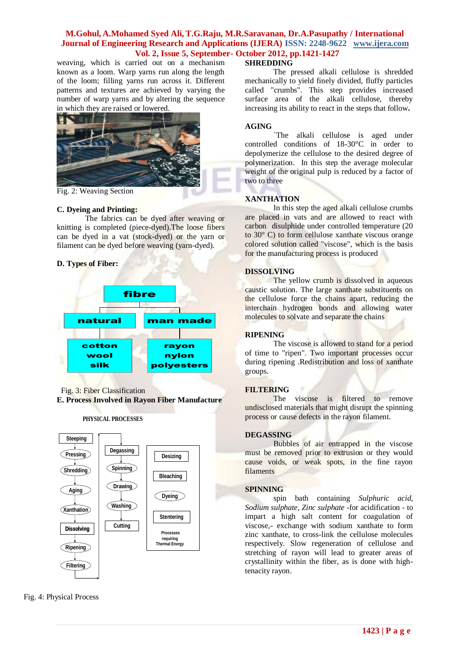weaving, which is carried out on a mechanism known as a loom. Warp yarns run along the length of the loom; filling yarns run across it. Different patterns and textures are achieved by varying the number of warp yarns and by altering the sequence in which they are raised or lowered.



Fig. 2: Weaving Section

## **C. Dyeing and Printing:**

The fabrics can be dyed after weaving or knitting is completed (piece-dyed).The loose fibers can be dyed in a vat (stock-dyed) or the yarn or filament can be dyed before weaving (yarn-dyed).

## **D. Types of Fiber:**



Fig. 3: Fiber Classification

**E. Process Involved in Rayon Fiber Manufacture**





Fig. 4: Physical Process

#### **SHREDDING**

The pressed alkali cellulose is shredded mechanically to yield finely divided, fluffy particles called "crumbs". This step provides increased surface area of the alkali cellulose, thereby increasing its ability to react in the steps that follow**.**

#### **AGING**

`The alkali cellulose is aged under controlled conditions of 18-30°C in order to depolymerize the cellulose to the desired degree of polymerization. In this step the average molecular weight of the original pulp is reduced by a factor of two to three

#### **XANTHATION**

In this step the aged alkali cellulose crumbs are placed in vats and are allowed to react with carbon disulphide under controlled temperature (20 to 30° C) to form cellulose xanthate viscous orange colored solution called "viscose", which is the basis for the manufacturing process is produced

## **DISSOLVING**

The yellow crumb is dissolved in aqueous caustic solution. The large xanthate substituents on the cellulose force the chains apart, reducing the interchain hydrogen bonds and allowing water molecules to solvate and separate the chains

#### **RIPENING**

The viscose is allowed to stand for a period of time to "ripen". Two important processes occur during ripening .Redistribution and loss of xanthate groups.

#### **FILTERING**

The viscose is filtered to remove undisclosed materials that might disrupt the spinning process or cause defects in the rayon filament.

#### **DEGASSING**

Bubbles of air entrapped in the viscose must be removed prior to extrusion or they would cause voids, or weak spots, in the fine rayon filaments

#### **SPINNING**

spin bath containing *Sulphuric acid, Sodium sulphate, Zinc sulphate* -for acidification - to impart a high salt content for coagulation of viscose,- exchange with sodium xanthate to form zinc xanthate, to cross-link the cellulose molecules respectively. Slow regeneration of cellulose and stretching of rayon will lead to greater areas of crystallinity within the fiber, as is done with hightenacity rayon.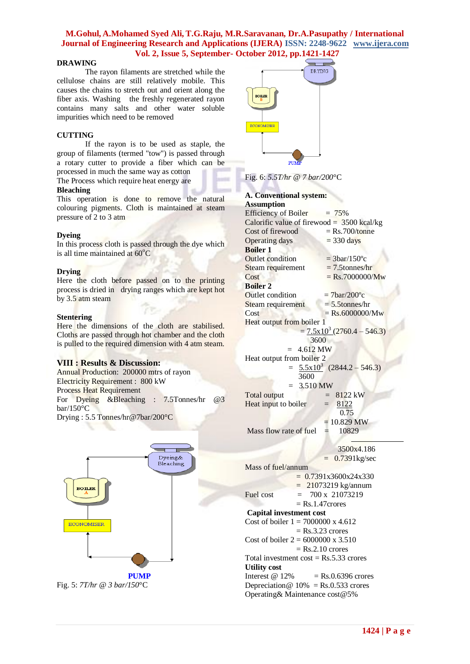#### **DRAWING**

The rayon filaments are stretched while the cellulose chains are still relatively mobile. This causes the chains to stretch out and orient along the fiber axis. Washing the freshly regenerated rayon contains many salts and other water soluble impurities which need to be removed

#### **CUTTING**

If the rayon is to be used as staple, the group of filaments (termed "tow") is passed through a rotary cutter to provide a fiber which can be processed in much the same way as cotton

The Process which require heat energy are

#### **Bleaching**

This operation is done to remove the natural colouring pigments. Cloth is maintained at steam pressure of 2 to 3 atm

#### **Dyeing**

In this process cloth is passed through the dye which is all time maintained at  $60^{\circ}$ C

#### **Drying**

Here the cloth before passed on to the printing process is dried in drying ranges which are kept hot by 3.5 atm steam

#### **Stentering**

Here the dimensions of the cloth are stabilised. Cloths are passed through hot chamber and the cloth is pulled to the required dimension with 4 atm steam.

#### **VIII : Results & Discussion:**

Annual Production: 200000 mtrs of rayon Electricity Requirement : 800 kW Process Heat Requirement For Dyeing &Bleaching : 7.5Tonnes/hr @3 bar/150°C Drying : 5.5 Tonnes/hr@7bar/200°C



DR YING **ECONOMISER** PID

Fig. 6: *5.5T/hr @ 7 bar/200*°C

## **A. Conventional system:**

**Assumption** Efficiency of Boiler  $= 75\%$ Calorific value of firewood  $=$  3500 kcal/kg Cost of firewood  $=$  Rs.700/tonne Operating days  $= 330 \text{ days}$ **Boiler 1** Outlet condition  $= 3<sup>6</sup>2<sup>o</sup>$ Steam requirement  $= 7.5$ tonnes/hr  $\cos t = \text{Rs.7000000} / \text{Mw}$ **Boiler 2** Outlet condition  $= 7 \text{bar}/200 \degree \text{c}$ Steam requirement  $= 5.5$ tonnes/hr  $Cost = Rs.6000000/Mw$ Heat output from boiler 1  $= 7.5 \times 10^3 (2760.4 - 546.3)$  3600  $= 4.612 \text{ MW}$ Heat output from boiler 2  $= 5.5 \times 10^3 (2844.2 - 546.3)$  3600  $= 3.510 \text{ MW}$  $Total output = 8122 kW$ Heat input to boiler  $= 8122$  0.75  $= 10.829$  MW Mass flow rate of fuel  $= 10829$ 

 3500x4.186  $= 0.7391$ kg/sec Mass of fuel/annum  $= 0.7391x3600x24x330$  $= 21073219$  kg/annum Fuel cost  $= 700 \times 21073219$  $=$  Rs.1.47 $\alpha$ crores **Capital investment cost** Cost of boiler  $1 = 7000000 \text{ x } 4.612$  $=$  Rs.3.23 crores Cost of boiler  $2 = 6000000 \times 3.510$  $=$  Rs.2.10 crores Total investment  $\cos t = \text{Rs } 0.533$  crores **Utility cost**  Interest  $\omega$  12% = Rs.0.6396 crores Depreciation  $\omega$  10% = Rs.0.533 crores Operating& Maintenance cost@5%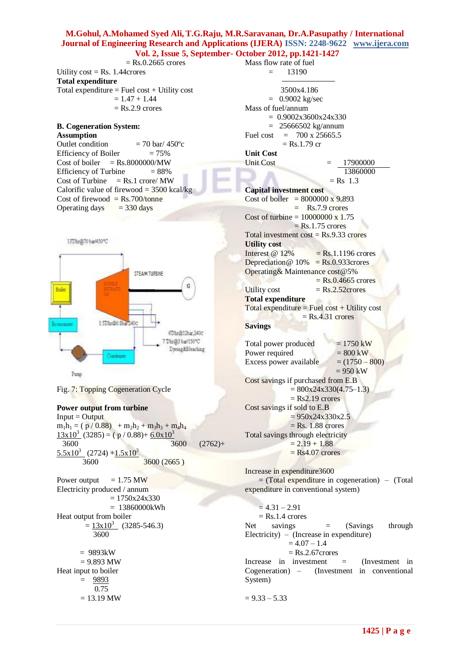$=$  Rs.0.2665 crores Utility  $cost = Rs. 1.44$ crores **Total expenditure**  Total expenditure  $=$  Fuel cost  $+$  Utility cost  $= 1.47 + 1.44$  $=$  Rs.2.9 crores

#### **B. Cogeneration System: Assumption**

Outlet condition  $= 70$  bar/ 450 $^{\circ}$ c Efficiency of Boiler  $= 75\%$ Cost of boiler  $=$  Rs.8000000/MW Efficiency of Turbine  $= 88\%$ Cost of Turbine  $=$  Rs.1 crore/ MW Calorific value of firewood =  $3500$  kcal/kg Cost of firewood =  $Rs.700/tonne$ Operating days  $= 330$  days



Fig. 7: Topping Cogeneration Cycle

#### **Power output from turbine**

 $Input = Output$  $m_1h_1 = (p / 0.88) + m_2h_2 + m_3h_3 + m_4h_4$  $13x10^3$  (3285) = ( p / 0.88)+ 6.0x10<sup>3</sup> 3600 3600 (2762)+  $\frac{5.5 \times 10^3}{2}$  (2724) +1.5x10<sup>3</sup> 3600 3600 (2665 )

Power output  $= 1.75$  MW Electricity produced / annum  $= 1750x24x330$  = 13860000kWh Heat output from boiler  $=$   $\frac{13x10^3}{x}$  (3285-546.3) 3600  $= 9893kW$  $= 9.893$  MW Heat input to boiler  $= 9893$  0.75  $= 13.19$  MW

Mass flow rate of fuel  $=$  13190 3500x4.186  $= 0.9002 \text{ kg/sec}$ Mass of fuel/annum  $= 0.9002x3600x24x330$  = 25666502 kg/annum Fuel cost =  $700 \times 25665.5$  $=$  Rs.1.79 cr **Unit Cost** 17900000 13860000  $=$  Rs 1.3 **Capital investment cost** Cost of boiler =  $8000000 \times 9.893$  $=$  Rs.7.9 crores Cost of turbine =  $10000000 \times 1.75$  $=$  Rs.1.75 crores Total investment  $cost = Rs.9.33$  crores **Utility cost**  Interest  $\omega$  12% = Rs.1.1196 crores Depreciation @  $10\% = \text{Rs.}0.933$  crores Operating& Maintenance cost@5%  $=$  Rs.0.4665 crores Utility cost  $=$  Rs.2.52 crores **Total expenditure**  Total expenditure = Fuel cost + Utility cost  $=$  Rs.4.31 crores

#### **Savings**

Total power produced  $= 1750 \text{ kW}$ Power required  $= 800 \text{ kW}$ Excess power available  $= (1750 - 800)$  $= 950$  kW Cost savings if purchased from E.B  $= 800x24x330(4.75-1.3)$  $=$  Rs2.19 crores Cost savings if sold to E.B  $= 950x24x330x2.5$  $=$  Rs. 1.88 crores Total savings through electricity  $= 2.19 + 1.88$  $=$  Rs4.07 crores

Increase in expenditure3600  $=$  (Total expenditure in cogeneration) – (Total expenditure in conventional system)

 $= 4.31 - 2.91$  $=$  Rs.1.4 crores Net savings  $=$  (Savings through Electricity) – (Increase in expenditure)  $= 4.07 - 1.4$  = Rs.2.67crores Increase in investment  $=$  (Investment in Cogeneration) – (Investment in conventional System)

 $= 9.33 - 5.33$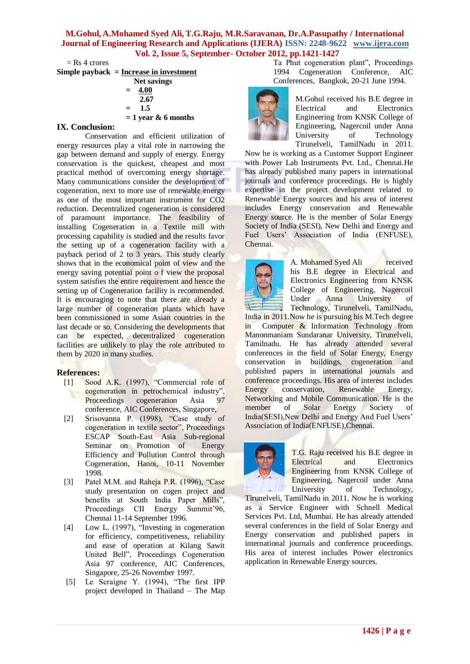$=$  Rs 4 crores

**Simple payback = Increase in investment**

 **Net savings**  $= 4.00$  **2.67**  $=$  1.5  **= 1 year & 6 months**

## **IX. Conclusion:**

Conservation and efficient utilization of energy resources play a vital role in narrowing the gap between demand and supply of energy. Energy conservation is the quickest, cheapest and most practical method of overcoming energy shortage. Many communications consider the development of cogeneration, next to more use of renewable energy as one of the most important instrument for CO2 reduction. Decentralized cogeneration is considered of paramount importance. The feasibility of installing Cogeneration in a Textile mill with processing capability is studied and the results favor the setting up of a cogeneration facility with a payback period of 2 to 3 years. This study clearly shows that in the economical point of view and the energy saving potential point o f view the proposal system satisfies the entire requirement and hence the setting up of Cogeneration facility is recommended. It is encouraging to note that there are already a large number of cogeneration plants which have been commissioned in some Asian countries in the last decade or so. Considering the developments that can be expected, decentralized cogeneration facilities are unlikely to play the role attributed to them by 2020 in many studies.

## **References:**

- [1] Sood A.K. (1997), "Commercial role of cogeneration in petrochemical industry",<br>Proceedings cogeneration Asia 97 Proceedings cogeneration Asia conference, AIC Conferences, Singapore,
- [2] Srisovanna P. (1998), "Case study of cogeneration in textile sector", Proceedings ESCAP South-East Asia Sub-regional<br>Seminar on Promotion of Energy Seminar on Promotion of Efficiency and Pollution Control through Cogeneration, Hanoi, 10-11 November 1998.
- [3] Patel M.M. and Raheja P.R. (1996), "Case study presentation on cogen project and benefits at South India Paper Mills", Proceedings CII Energy Summit'96, Chennai 11-14 September 1996.
- [4] Low L. (1997), "Investing in cogeneration for efficiency, competitiveness, reliability and ease of operation at Kilang Sawit United Bell", Proceedings Cogeneration Asia 97 conference, AIC Conferences, Singapore, 25-26 November 1997.
- [5] Le Scraigne Y. (1994), "The first IPP project developed in Thailand – The Map

Ta Phut cogeneration plant", Proceedings 1994 Cogeneration Conference, AIC Conferences, Bangkok, 20-21 June 1994.



M.Gohul received his B.E degree in Electrical and Electronics Engineering from KNSK College of Engineering, Nagercoil under Anna University of Technology Tirunelveli, TamilNadu in 2011.

Now he is working as a Customer Support Engineer with Power Lab Instruments Pvt. Ltd., Chennai.He has already published many papers in international journals and conference proceedings. He is highly expertise in the project development related to Renewable Energy sources and his area of interest includes Energy conservation and Renewable Energy source. He is the member of Solar Energy Society of India (SESI), New Delhi and Energy and Fuel Users' Association of India (ENFUSE), Chennai.



A. Mohamed Syed Ali received his B.E degree in Electrical and Electronics Engineering from KNSK College of Engineering, Nagercoil Under Anna University of Technology, Tirunelveli, TamilNadu, India in 2011.Now he is pursuing his M.Tech degree in Computer & Information Technology from Manonmaniam Sundaranar University, Tirunelveli, Tamilnadu. He has already attended several conferences in the field of Solar Energy, Energy conservation in buildings, cogeneration and published papers in international journals and conference proceedings. His area of interest includes Energy conservation, Renewable Energy, Networking and Mobile Communication. He is the member of Solar Energy Society of India(SESI),New Delhi and Energy And Fuel Users' Association of India(ENFUSE),Chennai.



T.G. Raju received his B.E degree in Electrical and Electronics Engineering from KNSK College of Engineering, Nagercoil under Anna University of Technology,

Tirunelveli, TamilNadu in 2011. Now he is working as a Service Engineer with Schnell Medical Services Pvt. Ltd, Mumbai. He has already attended several conferences in the field of Solar Energy and Energy conservation and published papers in international journals and conference proceedings. His area of interest includes Power electronics application in Renewable Energy sources.